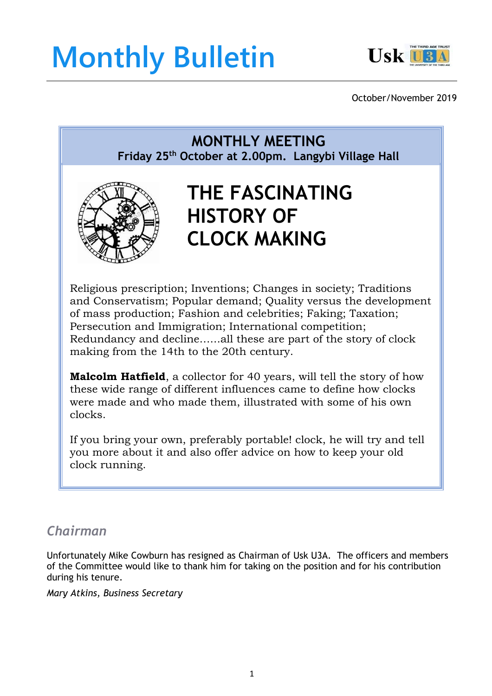# **Monthly Bulletin**



October/November 2019

**MONTHLY MEETING Friday 25th October at 2.00pm. Langybi Village Hall**



## **THE FASCINATING HISTORY OF CLOCK MAKING**

Religious prescription; Inventions; Changes in society; Traditions and Conservatism; Popular demand; Quality versus the development of mass production; Fashion and celebrities; Faking; Taxation; Persecution and Immigration; International competition; Redundancy and decline…...all these are part of the story of clock making from the 14th to the 20th century.

**Malcolm Hatfield**, a collector for 40 years, will tell the story of how these wide range of different influences came to define how clocks were made and who made them, illustrated with some of his own clocks.

If you bring your own, preferably portable! clock, he will try and tell you more about it and also offer advice on how to keep your old clock running.

### *Chairman*

Unfortunately Mike Cowburn has resigned as Chairman of Usk U3A. The officers and members of the Committee would like to thank him for taking on the position and for his contribution during his tenure.

*Mary Atkins, Business Secretary*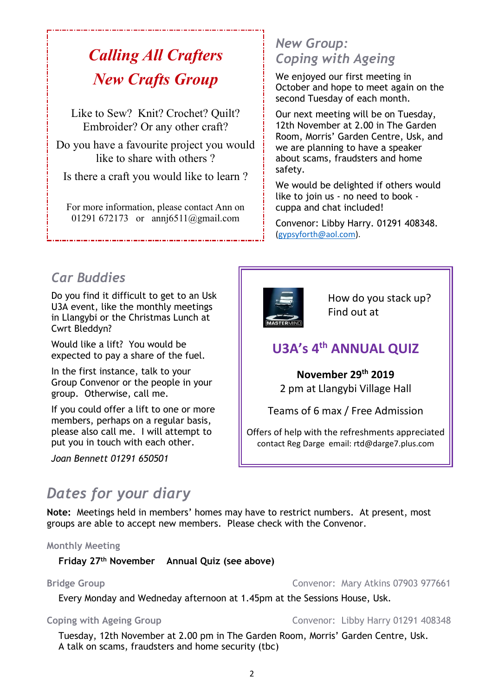## *Calling All Crafters New Crafts Group*

Like to Sew? Knit? Crochet? Quilt? Embroider? Or any other craft?

Do you have a favourite project you would like to share with others ?

Is there a craft you would like to learn ?

For more information, please contact Ann on 01291 672173 or annj6511@gmail.com

### *New Group: Coping with Ageing*

We enjoyed our first meeting in October and hope to meet again on the second Tuesday of each month.

Our next meeting will be on Tuesday, 12th November at 2.00 in The Garden Room, Morris' Garden Centre, Usk, and we are planning to have a speaker about scams, fraudsters and home safety.

We would be delighted if others would like to join us - no need to book cuppa and chat included!

Convenor: Libby Harry. 01291 408348. (gypsyforth@aol.com).

## *Car Buddies*

Do you find it difficult to get to an Usk U3A event, like the monthly meetings in Llangybi or the Christmas Lunch at Cwrt Bleddyn?

Would like a lift? You would be expected to pay a share of the fuel.

In the first instance, talk to your Group Convenor or the people in your group. Otherwise, call me.

If you could offer a lift to one or more members, perhaps on a regular basis, please also call me. I will attempt to put you in touch with each other.

*Joan Bennett 01291 650501*



How do you stack up? Find out at

## **U3A's 4th ANNUAL QUIZ**

**November 29th 2019** 2 pm at Llangybi Village Hall

Teams of 6 max / Free Admission

Offers of help with the refreshments appreciated contact Reg Darge email: rtd@darge7.plus.com

## *Dates for your diary*

**Note:** Meetings held in members' homes may have to restrict numbers. At present, most groups are able to accept new members. Please check with the Convenor.

### **Monthly Meeting**

**Friday 27th November Annual Quiz (see above)**

### **Bridge Group Bridge Group Convenor: Mary Atkins 07903 977661**

Every Monday and Wedneday afternoon at 1.45pm at the Sessions House, Usk.

### **Coping with Ageing Group** Convenor: Libby Harry 01291 408348

Tuesday, 12th November at 2.00 pm in The Garden Room, Morris' Garden Centre, Usk. A talk on scams, fraudsters and home security (tbc)